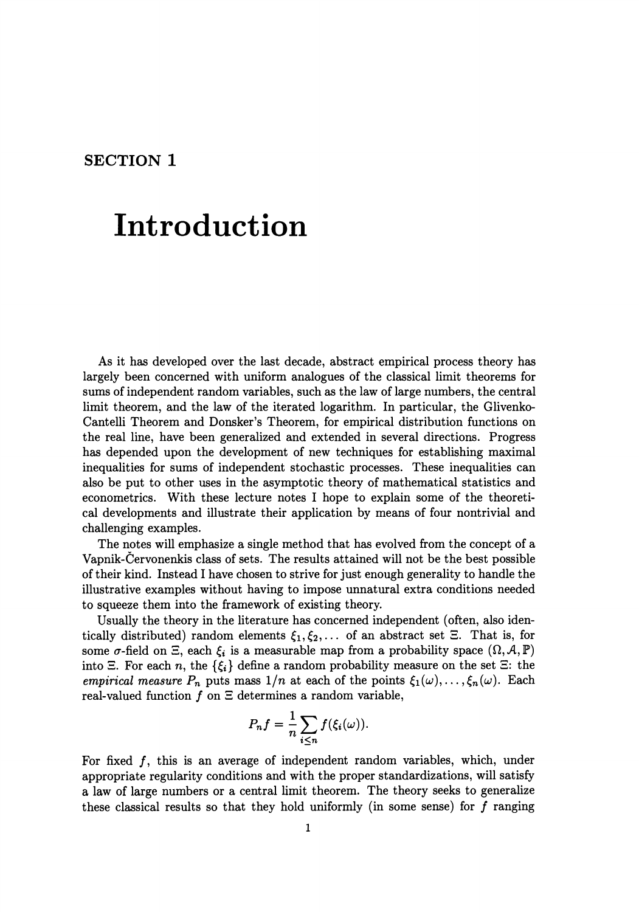## **SECTION 1**

## **Introduction**

As it has developed over the last decade, abstract empirical process theory has largely been concerned with uniform analogues of the classical limit theorems for sums of independent random variables, such as the law of large numbers, the central limit theorem, and the law of the iterated logarithm. In particular, the Glivenko-Cantelli Theorem and Donsker's Theorem, for empirical distribution functions on the real line, have been generalized and extended in several directions. Progress has depended upon the development of new techniques for establishing maximal inequalities for sums of independent stochastic processes. These inequalities can also be put to other uses in the asymptotic theory of mathematical statistics and econometrics. With these lecture notes I hope to explain some of the theoretical developments and illustrate their application by means of four nontrivial and challenging examples.

The notes will emphasize a single method that has evolved from the concept of a Vapnik-Cervonenkis class of sets. The results attained will not be the best possible of their kind. Instead I have chosen to strive for just enough generality to handle the illustrative examples without having to impose unnatural extra conditions needed to squeeze them into the framework of existing theory.

Usually the theory in the literature has concerned independent (often, also identically distributed) random elements  $\xi_1, \xi_2, \ldots$  of an abstract set  $\Xi$ . That is, for some  $\sigma$ -field on  $\Xi$ , each  $\xi_i$  is a measurable map from a probability space  $(\Omega, \mathcal{A}, \mathbb{P})$ into  $\Xi$ . For each *n*, the  $\{\xi_i\}$  define a random probability measure on the set  $\Xi$ : the *empirical measure*  $P_n$  puts mass  $1/n$  at each of the points  $\xi_1(\omega), \ldots, \xi_n(\omega)$ . Each real-valued function  $f$  on  $\Xi$  determines a random variable,

$$
P_nf=\frac{1}{n}\sum_{i\leq n}f(\xi_i(\omega)).
$$

For fixed  $f$ , this is an average of independent random variables, which, under appropriate regularity conditions and with the proper standardizations, will satisfy a law of large numbers or a central limit theorem. The theory seeks to generalize these classical results so that they hold uniformly (in some sense) for  $f$  ranging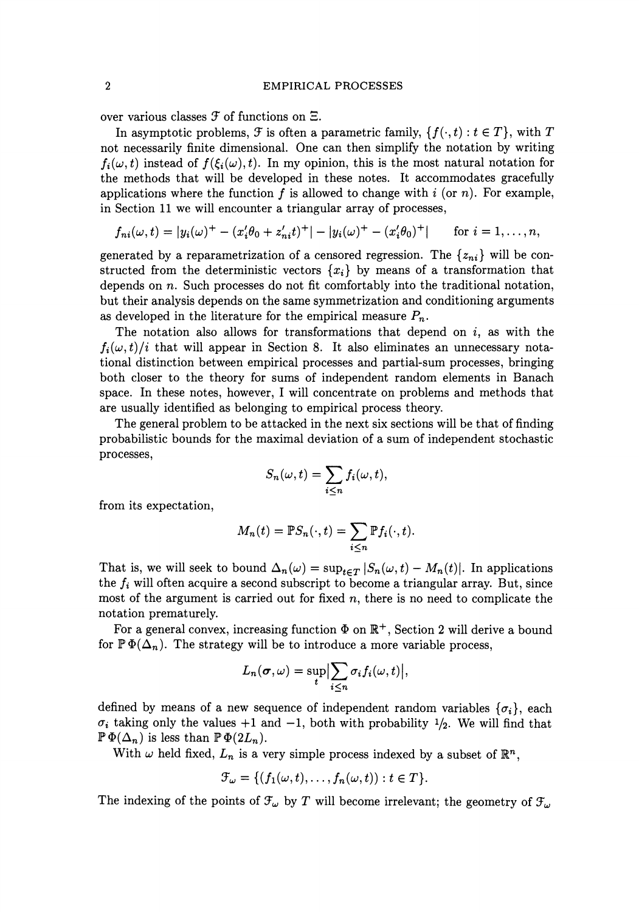over various classes  $\mathcal F$  of functions on  $\Xi$ .

In asymptotic problems,  $\mathcal F$  is often a parametric family,  $\{f(\cdot,t): t \in T\}$ , with  $T$ not necessarily finite dimensional. One can then simplify the notation by writing  $f_i(\omega, t)$  instead of  $f(\xi_i(\omega), t)$ . In my opinion, this is the most natural notation for the methods that will be developed in these notes. It accommodates gracefully applications where the function  $f$  is allowed to change with  $i$  (or  $n$ ). For example, in Section 11 we will encounter a triangular array of processes,

$$
f_{ni}(\omega, t) = |y_i(\omega)^+ - (x_i'\theta_0 + z_{ni}'t)^+| - |y_i(\omega)^+ - (x_i'\theta_0)^+| \quad \text{for } i = 1, ..., n,
$$

generated by a reparametrization of a censored regression. The  $\{z_{ni}\}\$  will be constructed from the deterministic vectors  $\{x_i\}$  by means of a transformation that depends on *n.* Such processes do not fit comfortably into the traditional notation, but their analysis depends on the same symmetrization and conditioning arguments as developed in the literature for the empirical measure  $P_n$ .

The notation also allows for transformations that depend on  $i$ , as with the  $f_i(\omega, t)/i$  that will appear in Section 8. It also eliminates an unnecessary notational distinction between empirical processes and partial-sum processes, bringing both closer to the theory for sums of independent random elements in Banach space. In these notes, however, I will concentrate on problems and methods that are usually identified as belonging to empirical process theory.

The general problem to be attacked in the next six sections will be that of finding probabilistic bounds for the maximal deviation of a sum of independent stochastic processes,

$$
S_n(\omega, t) = \sum_{i \leq n} f_i(\omega, t),
$$

from its expectation,

$$
M_n(t) = \mathbb{P}S_n(\cdot, t) = \sum_{i \leq n} \mathbb{P}f_i(\cdot, t).
$$

That is, we will seek to bound  $\Delta_n(\omega) = \sup_{t \in T} |S_n(\omega, t) - M_n(t)|$ . In applications the *fi* will often acquire a second subscript to become a triangular array. But, since most of the argument is carried out for fixed *n,* there is no need to complicate the notation prematurely.

For a general convex, increasing function  $\Phi$  on  $\mathbb{R}^+$ , Section 2 will derive a bound for  $\mathbb{P}\Phi(\Delta_n)$ . The strategy will be to introduce a more variable process,

$$
L_n(\boldsymbol{\sigma},\omega)=\sup_{t}\Bigl|\sum_{i\leq n}\sigma_if_i(\omega,t)\Bigr|,
$$

defined by means of a new sequence of independent random variables  $\{\sigma_i\}$ , each  $\sigma_i$  taking only the values +1 and -1, both with probability  $\frac{1}{2}$ . We will find that  $\mathbb{P}\,\Phi(\Delta_n)$  is less than  $\mathbb{P}\,\Phi(2L_n)$ .

With  $\omega$  held fixed,  $L_n$  is a very simple process indexed by a subset of  $\mathbb{R}^n$ ,

$$
\mathcal{F}_{\omega} = \{ (f_1(\omega, t), \dots, f_n(\omega, t)) : t \in T \}.
$$

The indexing of the points of  $\mathcal{F}_{\omega}$  by *T* will become irrelevant; the geometry of  $\mathcal{F}_{\omega}$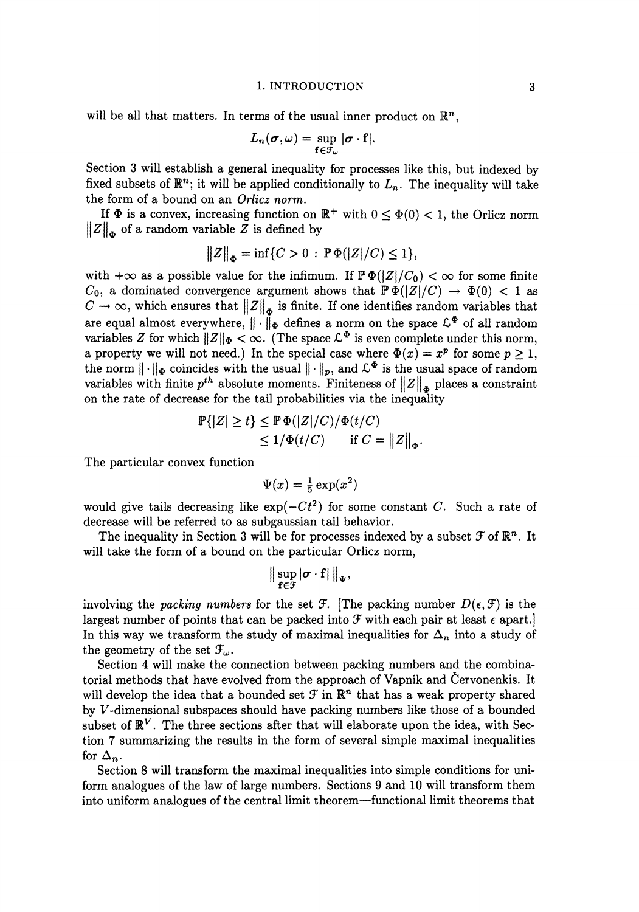## 1. INTRODUCTION

will be all that matters. In terms of the usual inner product on  $\mathbb{R}^n$ ,

$$
L_n(\boldsymbol{\sigma},\omega)=\sup_{\mathbf{f}\in\mathcal{F}_{\omega}}|\boldsymbol{\sigma}\cdot\mathbf{f}|.
$$

Section 3 will establish a general inequality for processes like this, but indexed by fixed subsets of  $\mathbb{R}^n$ ; it will be applied conditionally to  $L_n$ . The inequality will take the form of a bound on an *Orlicz norm.* 

If  $\Phi$  is a convex, increasing function on  $\mathbb{R}^+$  with  $0 \leq \Phi(0) < 1$ , the Orlicz norm  $||Z||_{\phi}$  of a random variable Z is defined by

$$
||Z||_{\Phi} = \inf \{ C > 0 : \mathbb{P}\Phi(|Z|/C) \le 1 \},
$$

with  $+\infty$  as a possible value for the infimum. If  $\mathbb{P}\Phi(|Z|/C_0) < \infty$  for some finite  $C_0$ , a dominated convergence argument shows that  $\mathbb{P}\Phi(|Z|/C) \to \Phi(0) < 1$  as  $C \rightarrow \infty$ , which ensures that  $||Z||_{\Phi}$  is finite. If one identifies random variables that are equal almost everywhere,  $\|\cdot\|_{\Phi}$  defines a norm on the space  $\mathcal{L}^{\Phi}$  of all random variables *Z* for which  $||Z||_{\Phi} < \infty$ . (The space  $\mathcal{L}^{\Phi}$  is even complete under this norm, a property we will not need.) In the special case where  $\Phi(x) = x^p$  for some  $p \ge 1$ , the norm  $\|\cdot\|_{\Phi}$  coincides with the usual  $\|\cdot\|_p$ , and  $\mathcal{L}^{\Phi}$  is the usual space of random variables with finite  $p^{th}$  absolute moments. Finiteness of  $||Z||_{\phi}$  places a constraint on the rate of decrease for the tail probabilities via the inequality

$$
\mathbb{P}\{|Z| \ge t\} \le \mathbb{P}\,\Phi(|Z|/C)/\Phi(t/C)
$$
  
\n
$$
\le 1/\Phi(t/C) \quad \text{if } C = ||Z||_{\Phi}.
$$

The particular convex function

$$
\Psi(x) = \frac{1}{5} \exp(x^2)
$$

would give tails decreasing like  $\exp(-Ct^2)$  for some constant *C*. Such a rate of decrease will be referred to as subgaussian tail behavior.

The inequality in Section 3 will be for processes indexed by a subset  $\mathcal F$  of  $\mathbb{R}^n$ . It will take the form of a bound on the particular Orlicz norm,

$$
\|\sup_{f\in\mathcal{F}}|\sigma\cdot f|\|_{\Psi},
$$

involving the *packing numbers* for the set  $\mathcal{F}$ . [The packing number  $D(\epsilon, \mathcal{F})$  is the largest number of points that can be packed into  $\mathcal F$  with each pair at least  $\epsilon$  apart.] In this way we transform the study of maximal inequalities for  $\Delta_n$  into a study of the geometry of the set  $\mathcal{F}_{\omega}$ .

Section 4 will make the connection between packing numbers and the combinatorial methods that have evolved from the approach of Vapnik and Cervonenkis. It will develop the idea that a bounded set  $\mathcal F$  in  $\mathbb{R}^n$  that has a weak property shared by *V* -dimensional subspaces should have packing numbers like those of a bounded subset of  $\mathbb{R}^V$ . The three sections after that will elaborate upon the idea, with Section 7 summarizing the results in the form of several simple maximal inequalities for  $\Delta_n$ .

Section 8 will transform the maximal inequalities into simple conditions for uniform analogues of the law of large numbers. Sections 9 and 10 will transform them into uniform analogues of the central limit theorem-functional limit theorems that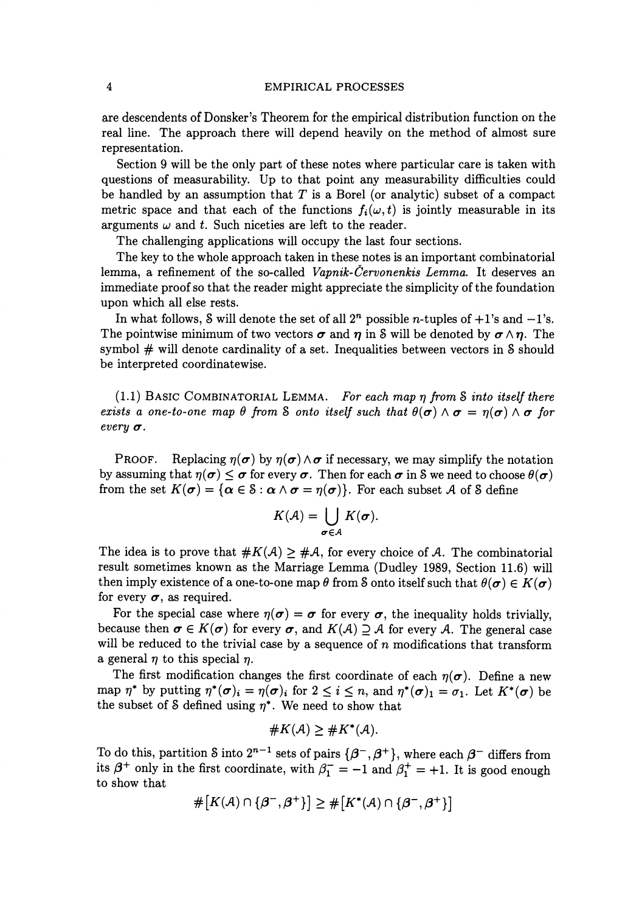## 4 EMPIRICAL PROCESSES

are descendents of Donsker's Theorem for the empirical distribution function on the real line. The approach there will depend heavily on the method of almost sure representation.

Section 9 will be the only part of these notes where particular care is taken with questions of measurability. Up to that point any measurability difficulties could be handled by an assumption that  $T$  is a Borel (or analytic) subset of a compact metric space and that each of the functions  $f_i(\omega, t)$  is jointly measurable in its arguments  $\omega$  and  $t$ . Such niceties are left to the reader.

The challenging applications will occupy the last four sections.

The key to the whole approach taken in these notes is an important combinatorial lemma, a refinement of the so-called *Vapnik-Cervonenkis Lemma.* It deserves an immediate proof so that the reader might appreciate the simplicity of the foundation upon which all else rests.

In what follows, S will denote the set of all  $2^n$  possible *n*-tuples of  $+1$ 's and  $-1$ 's. The pointwise minimum of two vectors  $\sigma$  and  $\eta$  in S will be denoted by  $\sigma \wedge \eta$ . The symbol  $#$  will denote cardinality of a set. Inequalities between vectors in S should be interpreted coordinatewise.

(1.1) BASIC COMBINATORIAL LEMMA. *For each map 17 from* S *into itself there exists a one-to-one map*  $\theta$  *from S onto itself such that*  $\theta(\sigma) \wedge \sigma = \eta(\sigma) \wedge \sigma$  for  $every$  $\sigma$ .

PROOF. Replacing  $\eta(\sigma)$  by  $\eta(\sigma) \wedge \sigma$  if necessary, we may simplify the notation by assuming that  $\eta(\sigma) \leq \sigma$  for every  $\sigma$ . Then for each  $\sigma$  in S we need to choose  $\theta(\sigma)$ from the set  $K(\sigma) = {\alpha \in \mathcal{S} : \alpha \wedge \sigma = \eta(\sigma)}$ . For each subset A of S define

$$
K(\mathcal{A})=\bigcup_{\sigma\in\mathcal{A}}K(\sigma).
$$

The idea is to prove that  $\#K(\mathcal{A}) \geq \# \mathcal{A}$ , for every choice of  $\mathcal{A}$ . The combinatorial result sometimes known as the Marriage Lemma (Dudley 1989, Section 11.6) will then imply existence of a one-to-one map  $\theta$  from S onto itself such that  $\theta(\sigma) \in K(\sigma)$ for every  $\sigma$ , as required.

For the special case where  $\eta(\sigma) = \sigma$  for every  $\sigma$ , the inequality holds trivially, because then  $\sigma \in K(\sigma)$  for every  $\sigma$ , and  $K(\mathcal{A}) \supseteq \mathcal{A}$  for every  $\mathcal{A}$ . The general case will be reduced to the trivial case by a sequence of *n* modifications that transform a general  $\eta$  to this special  $\eta$ .

The first modification changes the first coordinate of each  $\eta(\sigma)$ . Define a new map  $\eta^*$  by putting  $\eta^*(\sigma)_i = \eta(\sigma)_i$  for  $2 \leq i \leq n$ , and  $\eta^*(\sigma)_1 = \sigma_1$ . Let  $K^*(\sigma)$  be the subset of S defined using  $\eta^*$ . We need to show that

#K(A) ~ #K\*(A).

To do this, partition S into  $2^{n-1}$  sets of pairs  $\{\beta^-, \beta^+\}$ , where each  $\beta^-$  differs from its  $\beta^+$  only in the first coordinate, with  $\beta_1^- = -1$  and  $\beta_1^+ = +1$ . It is good enough to show that

$$
\#\big[K(\mathcal{A})\cap\{\mathcal{B}^-, \mathcal{B}^+\}\big] \geq \#\big[K^*(\mathcal{A})\cap\{\mathcal{B}^-, \mathcal{B}^+\}\big]
$$